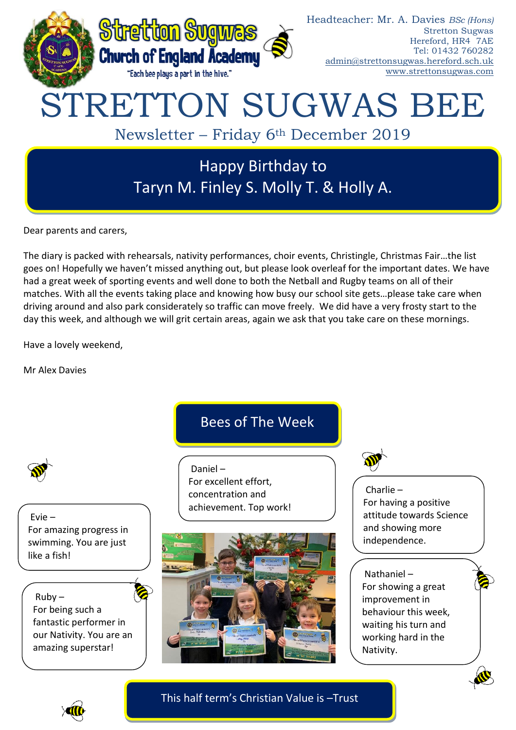

Dear parents and carers,

The diary is packed with rehearsals, nativity performances, choir events, Christingle, Christmas Fair…the list goes on! Hopefully we haven't missed anything out, but please look overleaf for the important dates. We have had a great week of sporting events and well done to both the Netball and Rugby teams on all of their matches. With all the events taking place and knowing how busy our school site gets…please take care when driving around and also park considerately so traffic can move freely. We did have a very frosty start to the day this week, and although we will grit certain areas, again we ask that you take care on these mornings.

Have a lovely weekend,

Mr Alex Davies

Evie – For amazing progress in swimming. You are just like a fish!

 $Ruby -$ For being such a fantastic performer in our Nativity. You are an amazing superstar!

# Bees of The Week

Daniel – For excellent effort, concentration and achievement. Top work!





Charlie – For having a positive attitude towards Science and showing more independence.

Nathaniel – For showing a great improvement in behaviour this week, waiting his turn and working hard in the Nativity.